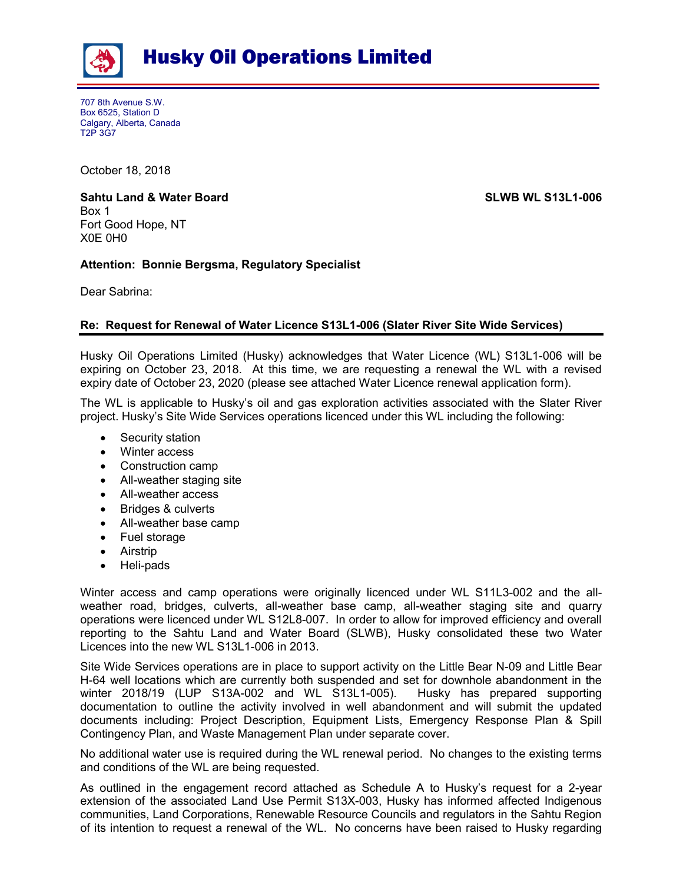

## Husky Oil Operations Limited

707 8th Avenue S.W. Box 6525, Station D Calgary, Alberta, Canada T2P 3G7

October 18, 2018

## Sahtu Land & Water Board Summer Summer SLWB WL S13L1-006 Box 1 Fort Good Hope, NT X0E 0H0

## Attention: Bonnie Bergsma, Regulatory Specialist

Dear Sabrina:

## Re: Request for Renewal of Water Licence S13L1-006 (Slater River Site Wide Services)

Husky Oil Operations Limited (Husky) acknowledges that Water Licence (WL) S13L1-006 will be expiring on October 23, 2018. At this time, we are requesting a renewal the WL with a revised expiry date of October 23, 2020 (please see attached Water Licence renewal application form).

The WL is applicable to Husky's oil and gas exploration activities associated with the Slater River project. Husky's Site Wide Services operations licenced under this WL including the following:

- Security station
- Winter access
- Construction camp
- All-weather staging site
- All-weather access
- Bridges & culverts
- All-weather base camp
- Fuel storage
- Airstrip
- Heli-pads

Winter access and camp operations were originally licenced under WL S11L3-002 and the allweather road, bridges, culverts, all-weather base camp, all-weather staging site and quarry operations were licenced under WL S12L8-007. In order to allow for improved efficiency and overall reporting to the Sahtu Land and Water Board (SLWB), Husky consolidated these two Water Licences into the new WL S13L1-006 in 2013.

Site Wide Services operations are in place to support activity on the Little Bear N-09 and Little Bear H-64 well locations which are currently both suspended and set for downhole abandonment in the winter 2018/19 (LUP S13A-002 and WL S13L1-005). Husky has prepared supporting documentation to outline the activity involved in well abandonment and will submit the updated documents including: Project Description, Equipment Lists, Emergency Response Plan & Spill Contingency Plan, and Waste Management Plan under separate cover.

No additional water use is required during the WL renewal period. No changes to the existing terms and conditions of the WL are being requested.

As outlined in the engagement record attached as Schedule A to Husky's request for a 2-year extension of the associated Land Use Permit S13X-003, Husky has informed affected Indigenous communities, Land Corporations, Renewable Resource Councils and regulators in the Sahtu Region of its intention to request a renewal of the WL. No concerns have been raised to Husky regarding